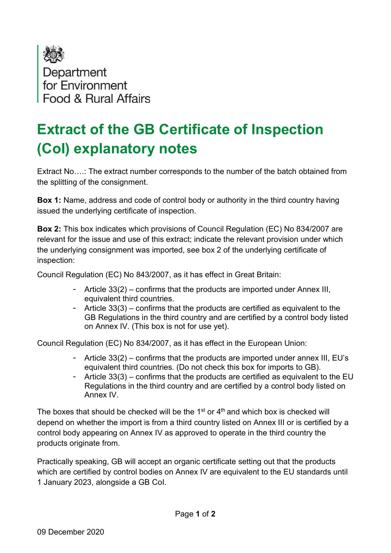

Food & Bural Affairs

## Extract of the GB Certificate of Inspection (CoI) explanatory notes

Extract No….: The extract number corresponds to the number of the batch obtained from the splitting of the consignment.

Box 1: Name, address and code of control body or authority in the third country having issued the underlying certificate of inspection.

Box 2: This box indicates which provisions of Council Regulation (EC) No 834/2007 are relevant for the issue and use of this extract; indicate the relevant provision under which the underlying consignment was imported, see box 2 of the underlying certificate of inspection:

Council Regulation (EC) No 843/2007, as it has effect in Great Britain:

- Article 33(2) confirms that the products are imported under Annex III, equivalent third countries.
- Article 33(3) confirms that the products are certified as equivalent to the GB Regulations in the third country and are certified by a control body listed on Annex IV. (This box is not for use yet).

Council Regulation (EC) No 834/2007, as it has effect in the European Union:

- Article 33(2) confirms that the products are imported under annex III, EU's equivalent third countries. (Do not check this box for imports to GB).
- Article  $33(3)$  confirms that the products are certified as equivalent to the EU Regulations in the third country and are certified by a control body listed on Annex IV.

The boxes that should be checked will be the  $1<sup>st</sup>$  or  $4<sup>th</sup>$  and which box is checked will depend on whether the import is from a third country listed on Annex III or is certified by a control body appearing on Annex IV as approved to operate in the third country the products originate from.

Practically speaking, GB will accept an organic certificate setting out that the products which are certified by control bodies on Annex IV are equivalent to the EU standards until 1 January 2023, alongside a GB CoI.